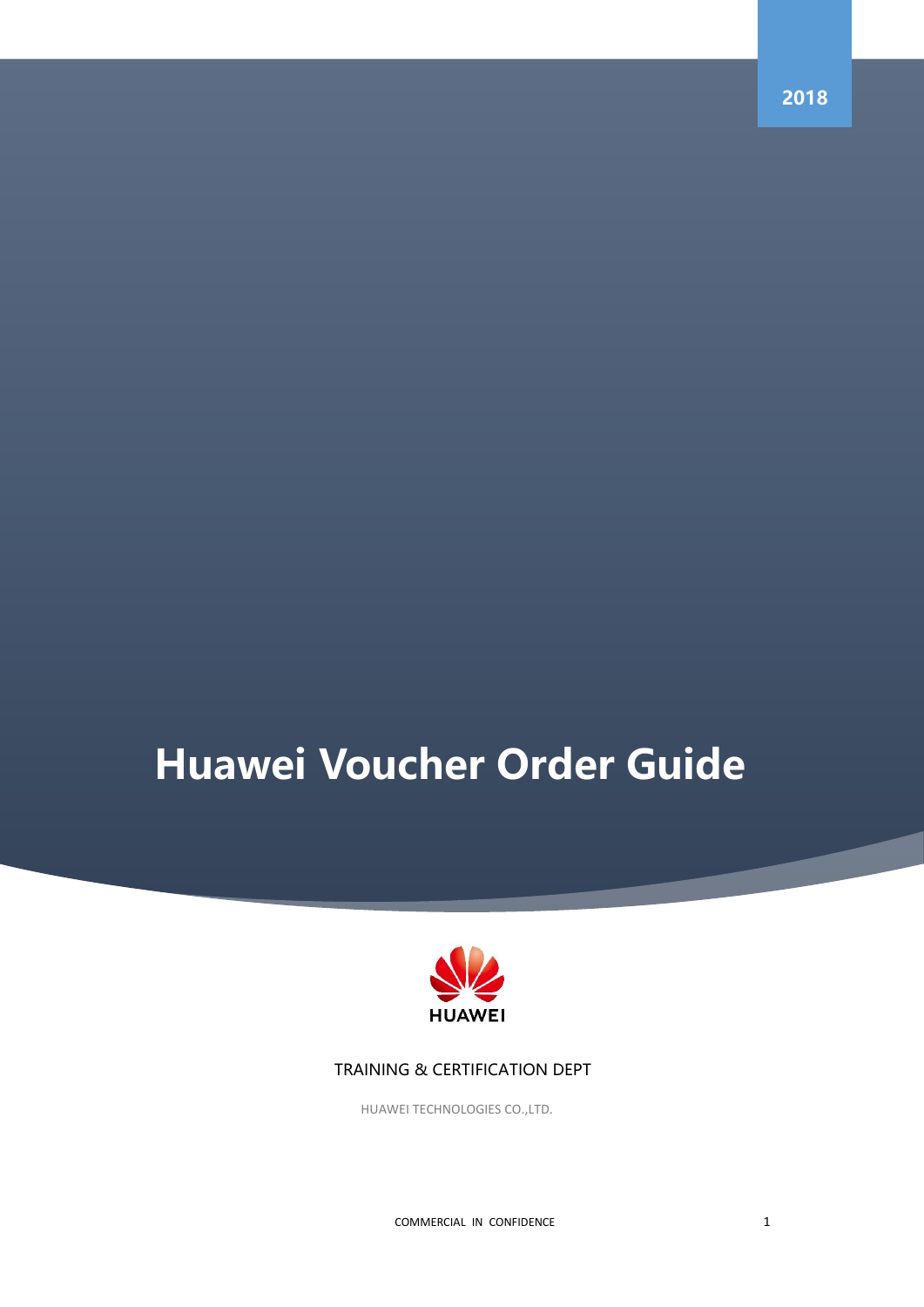# **Huawei Voucher Order Guide**



## TRAINING & CERTIFICATION DEPT

HUAWEI TECHNOLOGIES CO.,LTD.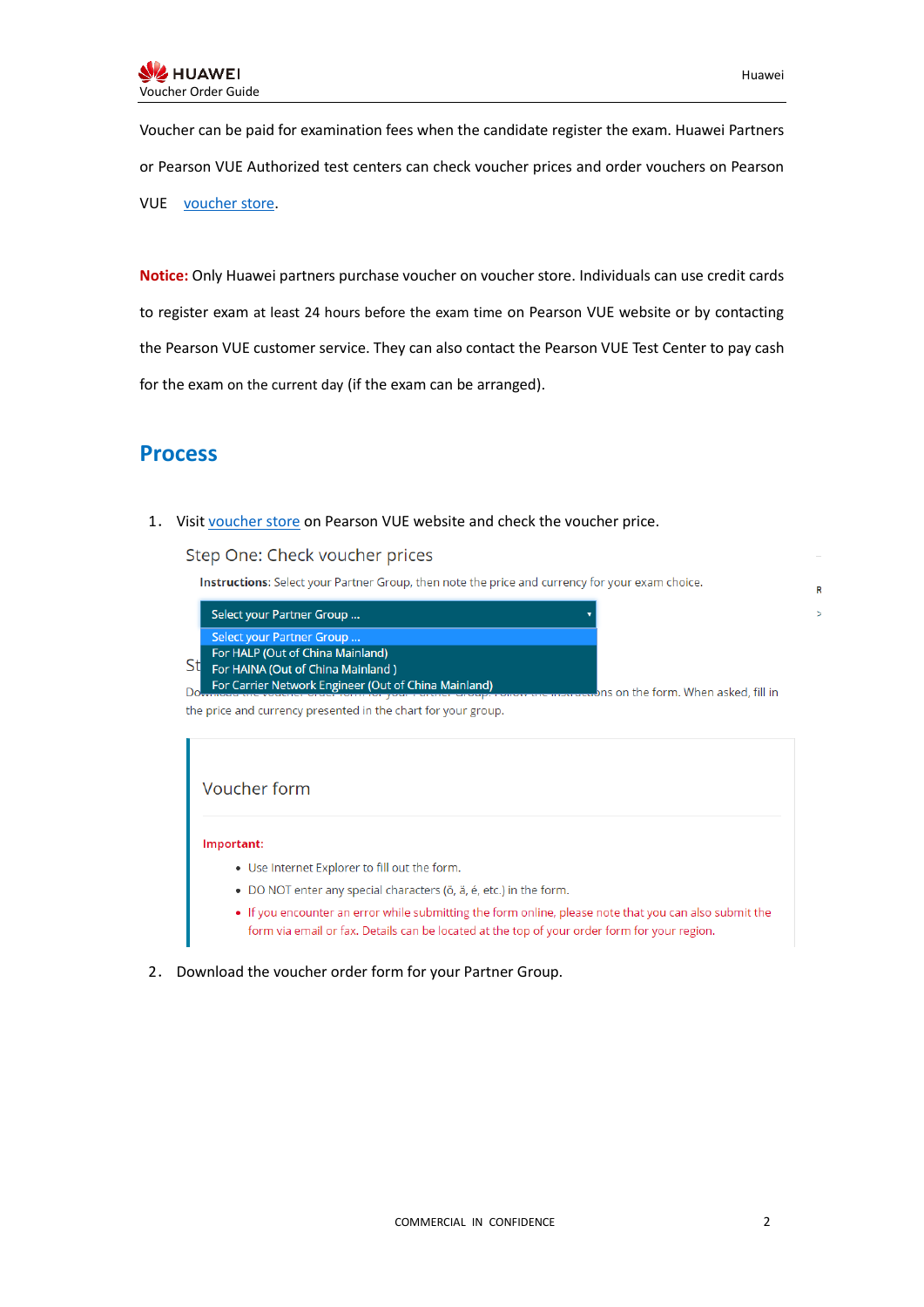$\overline{R}$ 

Voucher can be paid for examination fees when the candidate register the exam. Huawei Partners or Pearson VUE Authorized test centers can check voucher prices and order vouchers on Pearson VUE [voucher store.](http://www.pearsonvue.com/vouchers/pricelist/huawei.asp)

**Notice:** Only Huawei partners purchase voucher on voucher store. Individuals can use credit cards to register exam at least 24 hours before the exam time on Pearson VUE website or by contacting the Pearson VUE customer service. They can also contact the Pearson VUE Test Center to pay cash for the exam on the current day (if the exam can be arranged).

## **Process**

1. Visi[t voucher store](http://www.pearsonvue.com/vouchers/pricelist/huawei.asp) on Pearson VUE website and check the voucher price.

### Step One: Check voucher prices

Instructions: Select your Partner Group, then note the price and currency for your exam choice.

| Select your Partner Group                            |                                      |
|------------------------------------------------------|--------------------------------------|
| Select your Partner Group                            |                                      |
| For HALP (Out of China Mainland)                     |                                      |
| For HAINA (Out of China Mainland)                    |                                      |
| For Carrier Network Engineer (Out of China Mainland) | ons on the form. When asked, fill in |

the price and currency presented in the chart for your group.

## Voucher form

#### Important:

- . Use Internet Explorer to fill out the form.
- · DO NOT enter any special characters (ö, ä, é, etc.) in the form.
- If you encounter an error while submitting the form online, please note that you can also submit the form via email or fax. Details can be located at the top of your order form for your region.
- 2. Download the voucher order form for your Partner Group.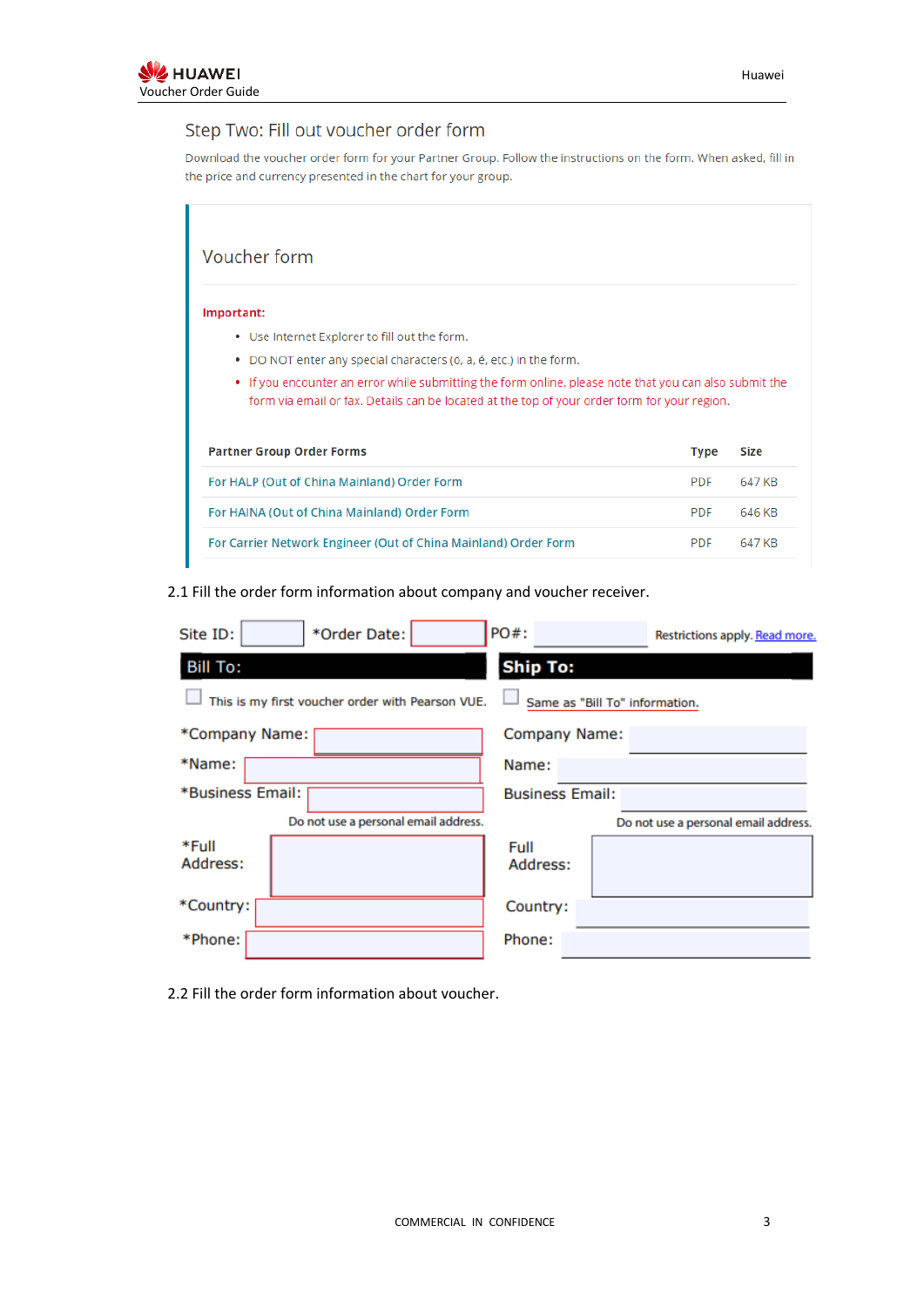## Step Two: Fill out voucher order form

Download the voucher order form for your Partner Group. Follow the instructions on the form. When asked, fill in the price and currency presented in the chart for your group.

| Voucher form                                                          |                                                                                                                                                                                                        |             |  |  |  |
|-----------------------------------------------------------------------|--------------------------------------------------------------------------------------------------------------------------------------------------------------------------------------------------------|-------------|--|--|--|
| Important:                                                            |                                                                                                                                                                                                        |             |  |  |  |
| Use Internet Explorer to fill out the form.                           |                                                                                                                                                                                                        |             |  |  |  |
| DO NOT enter any special characters (ö, ä, é, etc.) in the form.<br>٠ |                                                                                                                                                                                                        |             |  |  |  |
|                                                                       | • If you encounter an error while submitting the form online, please note that you can also submit the<br>form via email or fax. Details can be located at the top of your order form for your region. |             |  |  |  |
| <b>Partner Group Order Forms</b>                                      |                                                                                                                                                                                                        |             |  |  |  |
|                                                                       | <b>Type</b>                                                                                                                                                                                            | <b>Size</b> |  |  |  |
| For HALP (Out of China Mainland) Order Form                           | <b>PDF</b>                                                                                                                                                                                             | 647 KB      |  |  |  |
| For HAINA (Out of China Mainland) Order Form                          | <b>PDF</b>                                                                                                                                                                                             | 646 KB      |  |  |  |

## 2.1 Fill the order form information about company and voucher receiver.

| *Order Date:<br>Site ID:                                                           | PO#:<br>Restrictions apply. Read more. |  |  |  |  |
|------------------------------------------------------------------------------------|----------------------------------------|--|--|--|--|
| <b>Bill To:</b>                                                                    | <b>Ship To:</b>                        |  |  |  |  |
| Same as "Bill To" information.<br>This is my first voucher order with Pearson VUE. |                                        |  |  |  |  |
| *Company Name:                                                                     | Company Name:                          |  |  |  |  |
| *Name:                                                                             | Name:                                  |  |  |  |  |
| *Business Email:                                                                   | <b>Business Email:</b>                 |  |  |  |  |
| Do not use a personal email address.                                               | Do not use a personal email address.   |  |  |  |  |
| *Full<br>Address:                                                                  | Full<br>Address:                       |  |  |  |  |
| *Country:                                                                          | Country:                               |  |  |  |  |
| *Phone:                                                                            | Phone:                                 |  |  |  |  |

2.2 Fill the order form information about voucher.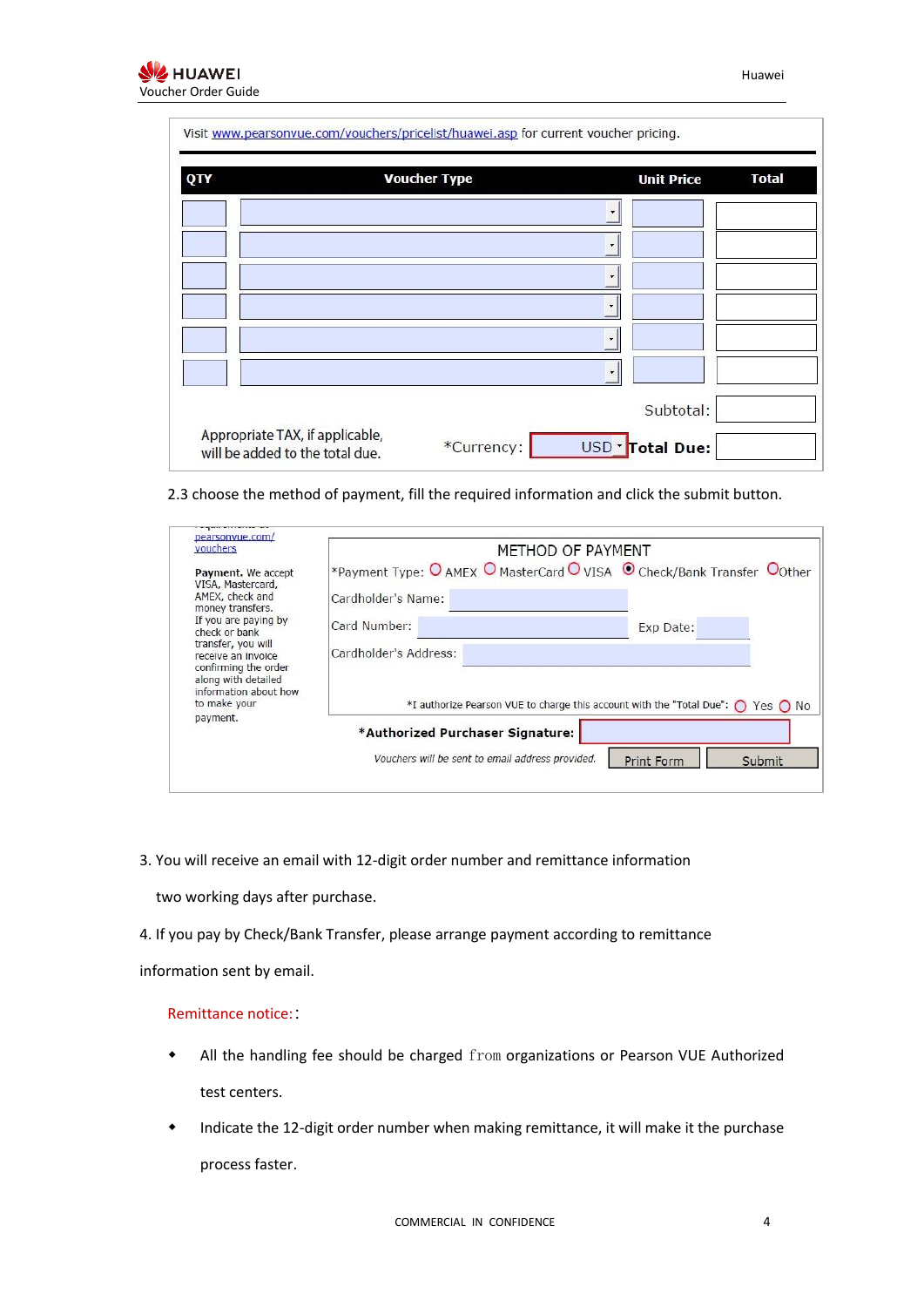| QTY | <b>Voucher Type</b> |         | <b>Unit Price</b> | <b>Total</b> |
|-----|---------------------|---------|-------------------|--------------|
|     |                     |         |                   |              |
|     |                     | ٠       |                   |              |
|     |                     |         |                   |              |
|     |                     | ۰       |                   |              |
|     |                     | ۰       |                   |              |
|     |                     | $\cdot$ |                   |              |
|     |                     |         | Subtotal:         |              |

2.3 choose the method of payment, fill the required information and click the submit button.

| pearsonyue.com/<br>vouchers                                                                                      |                                                  | METHOD OF PAYMENT                                                                                |  |  |
|------------------------------------------------------------------------------------------------------------------|--------------------------------------------------|--------------------------------------------------------------------------------------------------|--|--|
| Payment. We accept<br>VISA, Mastercard,                                                                          |                                                  | *Payment Type: O AMEX O MasterCard O VISA © Check/Bank Transfer Oother                           |  |  |
| AMEX, check and<br>money transfers.                                                                              | Cardholder's Name:                               |                                                                                                  |  |  |
| If you are paying by<br>check or bank                                                                            | Card Number:                                     | Exp Date:                                                                                        |  |  |
| transfer, you will<br>receive an invoice<br>confirming the order<br>along with detailed<br>information about how | Cardholder's Address:                            |                                                                                                  |  |  |
| to make your                                                                                                     |                                                  | *I authorize Pearson VUE to charge this account with the "Total Due": $\bigcap$ Yes $\bigcap$ No |  |  |
| payment.                                                                                                         | *Authorized Purchaser Signature:                 |                                                                                                  |  |  |
|                                                                                                                  | Vouchers will be sent to email address provided. | Submit<br><b>Print Form</b>                                                                      |  |  |

3. You will receive an email with 12-digit order number and remittance information

two working days after purchase.

4. If you pay by Check/Bank Transfer, please arrange payment according to remittance

information sent by email.

## Remittance notice::

- All the handling fee should be charged from organizations or Pearson VUE Authorized test centers.
- Indicate the 12-digit order number when making remittance, it will make it the purchase process faster.